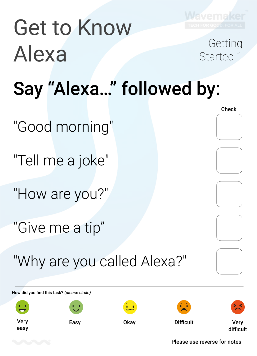

Started 1

# Get to Know Alexa Getting<br>Started 1

### Say "Alexa…" followed by:

"Good morning"

"Tell me a joke"

"How are you?"

"Give me a tip"

"Why are you called Alexa?"

**Check** 

How did you find this task? *(please circle)*

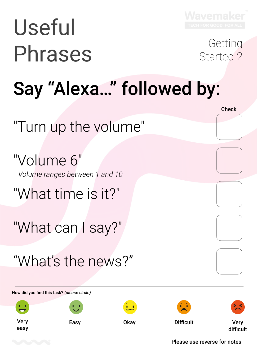

# Useful Phrases Getting<br>
Started 2

Started 2

**Check** 

### Say "Alexa…" followed by:

"Turn up the volume"

"What time is it?"

"What can I say?"

"Volume 6" *Volume ranges between 1 and 10*

"What's the news?"

How did you find this task? *(please circle)*

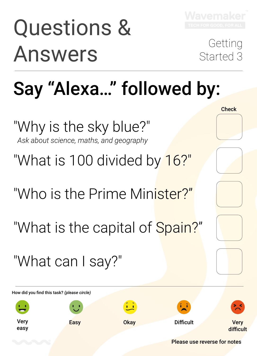# Questions & Answers Getting<br>
Answers Started 3

Started 3

**Check** 

## Say "Alexa…" followed by:

"What is 100 divided by 16?"

"Who is the Prime Minister?"

"Why is the sky blue?" *Ask about science, maths, and geography*

"What is the capital of Spain?"

"What can I say?"



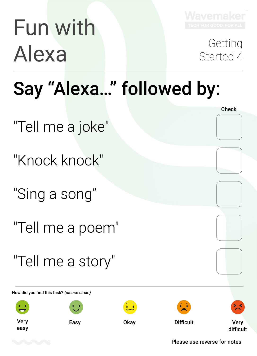# Fun with Alexa Getting<br>Started 4



Started 4

**Check** 

## Say "Alexa…" followed by:

"Tell me a joke"

"Knock knock"

"Sing a song"

"Tell me a poem"

"Tell me a story"





How did you find this task? *(please circle)*

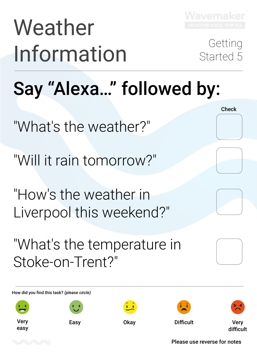

# Weather Information Getting<br>Information Started 5

Started 5

**Check** 

## Say "Alexa…" followed by:

"What's the weather?"

"Will it rain tomorrow?"

"How's the weather in Liverpool this weekend?"

"What's the temperature in Stoke-on-Trent?"

How did you find this task? *(please circle)*

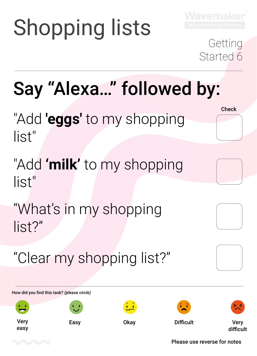# Shopping lists



### Getting Started 6

**Check** 

## Say "Alexa…" followed by:

"Add **'eggs'** to my shopping list"

"What's in my shopping list?"

"Add **'milk'** to my shopping list"

"Clear my shopping list?"

How did you find this task? *(please circle)*

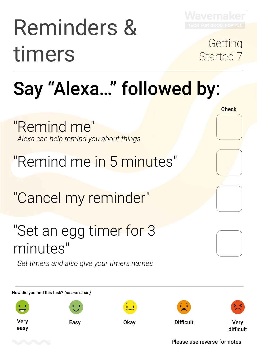

# Reminders & timers Getting<br>Started 7

Started 7

**Check** 

## Say "Alexa…" followed by:

### "Remind me in 5 minutes"

"Cancel my reminder"

"Remind me" *Alexa can help remind you about things*

### "Set an egg timer for 3 minutes"

*Set timers and also give your timers names*

How did you find this task? *(please circle)*

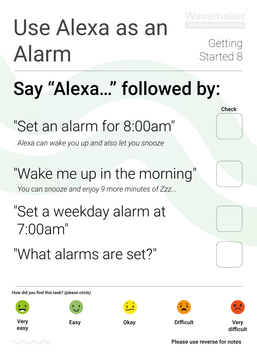# Use Alexa as an Alarm Getting<br>Started 8



# Started 8

**Check** 

## Say "Alexa…" followed by:

### "Set an alarm for 8:00am"

*Alexa can wake you up and also let you snooze*

"What alarms are set?"

### "Wake me up in the morning"

### "Set a weekday alarm at 7:00am"

*You can snooze and enjoy 9 more minutes of Zzz...*

How did you find this task? *(please circle)*



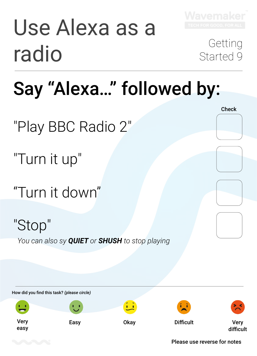

### Say "Alexa…" followed by:

"Play BBC Radio 2"

"Turn it up"

"Turn it down"

"Stop" *You can also sy QUIET or SHUSH to stop playing*

How did you find this task? *(please circle)* Very easy Easy Okay Difficult Very difficult

#### Please use reverse for notes

**Check**